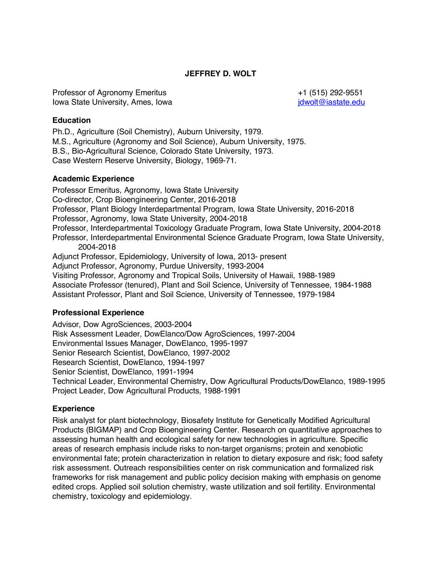## **JEFFREY D. WOLT**

Professor of Agronomy Emeritus +1 (515) 292-9551 Iowa State University, Ames, Iowa julie and the state of the state of idwolt@iastate.edu

## **Education**

Ph.D., Agriculture (Soil Chemistry), Auburn University, 1979. M.S., Agriculture (Agronomy and Soil Science), Auburn University, 1975. B.S., Bio-Agricultural Science, Colorado State University, 1973. Case Western Reserve University, Biology, 1969-71.

### **Academic Experience**

Professor Emeritus, Agronomy, Iowa State University Co-director, Crop Bioengineering Center, 2016-2018 Professor, Plant Biology Interdepartmental Program, Iowa State University, 2016-2018 Professor, Agronomy, Iowa State University, 2004-2018 Professor, Interdepartmental Toxicology Graduate Program, Iowa State University, 2004-2018 Professor, Interdepartmental Environmental Science Graduate Program, Iowa State University, 2004-2018 Adjunct Professor, Epidemiology, University of Iowa, 2013- present Adjunct Professor, Agronomy, Purdue University, 1993-2004 Visiting Professor, Agronomy and Tropical Soils, University of Hawaii, 1988-1989 Associate Professor (tenured), Plant and Soil Science, University of Tennessee, 1984-1988 Assistant Professor, Plant and Soil Science, University of Tennessee, 1979-1984

## **Professional Experience**

Advisor, Dow AgroSciences, 2003-2004 Risk Assessment Leader, DowElanco/Dow AgroSciences, 1997-2004 Environmental Issues Manager, DowElanco, 1995-1997 Senior Research Scientist, DowElanco, 1997-2002 Research Scientist, DowElanco, 1994-1997 Senior Scientist, DowElanco, 1991-1994 Technical Leader, Environmental Chemistry, Dow Agricultural Products/DowElanco, 1989-1995 Project Leader, Dow Agricultural Products, 1988-1991

## **Experience**

Risk analyst for plant biotechnology, Biosafety Institute for Genetically Modified Agricultural Products (BIGMAP) and Crop Bioengineering Center. Research on quantitative approaches to assessing human health and ecological safety for new technologies in agriculture. Specific areas of research emphasis include risks to non-target organisms; protein and xenobiotic environmental fate; protein characterization in relation to dietary exposure and risk; food safety risk assessment. Outreach responsibilities center on risk communication and formalized risk frameworks for risk management and public policy decision making with emphasis on genome edited crops. Applied soil solution chemistry, waste utilization and soil fertility. Environmental chemistry, toxicology and epidemiology.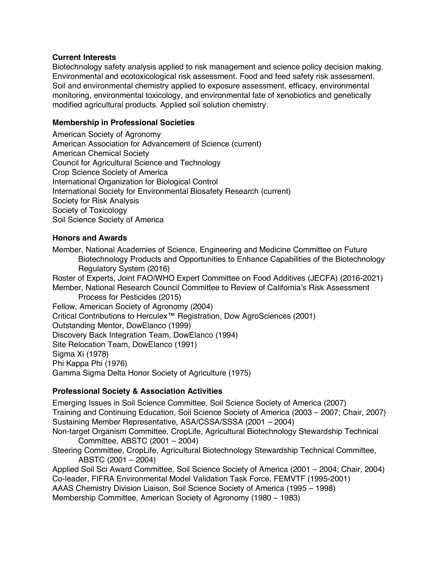## **Current Interests**

Biotechnology safety analysis applied to risk management and science policy decision making. Environmental and ecotoxicological risk assessment. Food and feed safety risk assessment. Soil and environmental chemistry applied to exposure assessment, efficacy, environmental monitoring, environmental toxicology, and environmental fate of xenobiotics and genetically modified agricultural products. Applied soil solution chemistry.

# **Membership in Professional Societies**

American Society of Agronomy American Association for Advancement of Science (current) American Chemical Society Council for Agricultural Science and Technology Crop Science Society of America International Organization for Biological Control International Society for Environmental Biosafety Research (current) Society for Risk Analysis Society of Toxicology Soil Science Society of America

## **Honors and Awards**

Member, National Academies of Science, Engineering and Medicine Committee on Future Biotechnology Products and Opportunities to Enhance Capabilities of the Biotechnology Regulatory System (2016)

Roster of Experts, Joint FAO/WHO Expert Committee on Food Additives (JECFA) (2016-2021)

Member, National Research Council Committee to Review of California's Risk Assessment Process for Pesticides (2015)

Fellow, American Society of Agronomy (2004)

Critical Contributions to Herculex™ Registration, Dow AgroSciences (2001)

Outstanding Mentor, DowElanco (1999)

Discovery Back Integration Team, DowElanco (1994)

Site Relocation Team, DowElanco (1991)

Sigma Xi (1978)

Phi Kappa Phi (1976)

Gamma Sigma Delta Honor Society of Agriculture (1975)

# **Professional Society & Association Activities**

Emerging Issues in Soil Science Committee, Soil Science Society of America (2007) Training and Continuing Education, Soil Science Society of America (2003 – 2007; Chair, 2007) Sustaining Member Representative, ASA/CSSA/SSSA (2001 – 2004) Non-target Organism Committee, CropLife, Agricultural Biotechnology Stewardship Technical Committee, ABSTC (2001 – 2004) Steering Committee, CropLife, Agricultural Biotechnology Stewardship Technical Committee,

ABSTC (2001 – 2004) Applied Soil Sci Award Committee, Soil Science Society of America (2001 – 2004; Chair, 2004) Co-leader, FIFRA Environmental Model Validation Task Force, FEMVTF (1995-2001) AAAS Chemistry Division Liaison, Soil Science Society of America (1995 – 1998) Membership Committee, American Society of Agronomy (1980 – 1983)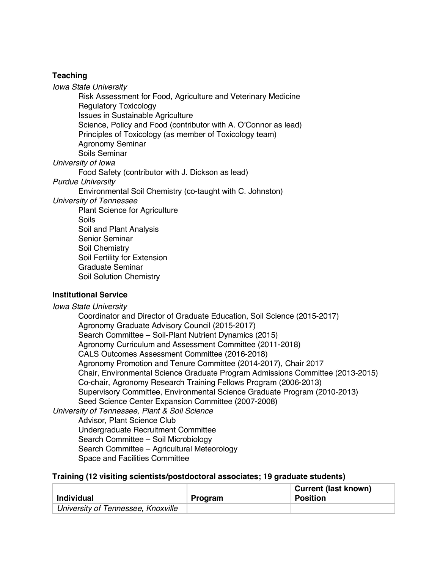## **Teaching**

*Iowa State University* 

Risk Assessment for Food, Agriculture and Veterinary Medicine Regulatory Toxicology Issues in Sustainable Agriculture Science, Policy and Food (contributor with A. O'Connor as lead) Principles of Toxicology (as member of Toxicology team) Agronomy Seminar Soils Seminar

*University of Iowa*

Food Safety (contributor with J. Dickson as lead)

*Purdue University* 

Environmental Soil Chemistry (co-taught with C. Johnston)

*University of Tennessee* 

Plant Science for Agriculture Soils Soil and Plant Analysis Senior Seminar Soil Chemistry Soil Fertility for Extension Graduate Seminar Soil Solution Chemistry

#### **Institutional Service**

*Iowa State University* 

Coordinator and Director of Graduate Education, Soil Science (2015-2017) Agronomy Graduate Advisory Council (2015-2017) Search Committee – Soil-Plant Nutrient Dynamics (2015) Agronomy Curriculum and Assessment Committee (2011-2018) CALS Outcomes Assessment Committee (2016-2018) Agronomy Promotion and Tenure Committee (2014-2017), Chair 2017 Chair, Environmental Science Graduate Program Admissions Committee (2013-2015) Co-chair, Agronomy Research Training Fellows Program (2006-2013) Supervisory Committee, Environmental Science Graduate Program (2010-2013) Seed Science Center Expansion Committee (2007-2008) *University of Tennessee, Plant & Soil Science*

Advisor, Plant Science Club Undergraduate Recruitment Committee Search Committee – Soil Microbiology Search Committee – Agricultural Meteorology Space and Facilities Committee

#### **Training (12 visiting scientists/postdoctoral associates; 19 graduate students)**

| <b>Individual</b>                  | Program | <b>Current (last known)</b><br><b>Position</b> |
|------------------------------------|---------|------------------------------------------------|
| University of Tennessee, Knoxville |         |                                                |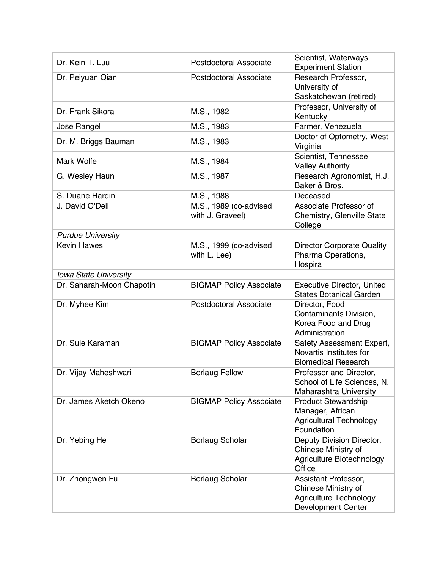| Dr. Kein T. Luu           | <b>Postdoctoral Associate</b>              | Scientist, Waterways<br><b>Experiment Station</b>                                                         |
|---------------------------|--------------------------------------------|-----------------------------------------------------------------------------------------------------------|
| Dr. Peiyuan Qian          | <b>Postdoctoral Associate</b>              | Research Professor,<br>University of                                                                      |
|                           |                                            | Saskatchewan (retired)                                                                                    |
|                           |                                            | Professor, University of                                                                                  |
| Dr. Frank Sikora          | M.S., 1982                                 | Kentucky                                                                                                  |
| Jose Rangel               | M.S., 1983                                 | Farmer, Venezuela                                                                                         |
| Dr. M. Briggs Bauman      | M.S., 1983                                 | Doctor of Optometry, West<br>Virginia                                                                     |
| <b>Mark Wolfe</b>         | M.S., 1984                                 | Scientist, Tennessee<br><b>Valley Authority</b>                                                           |
| G. Wesley Haun            | M.S., 1987                                 | Research Agronomist, H.J.<br>Baker & Bros.                                                                |
| S. Duane Hardin           | M.S., 1988                                 | Deceased                                                                                                  |
| J. David O'Dell           | M.S., 1989 (co-advised<br>with J. Graveel) | Associate Professor of<br>Chemistry, Glenville State<br>College                                           |
| <b>Purdue University</b>  |                                            |                                                                                                           |
| <b>Kevin Hawes</b>        | M.S., 1999 (co-advised<br>with L. Lee)     | <b>Director Corporate Quality</b><br>Pharma Operations,<br>Hospira                                        |
| Iowa State University     |                                            |                                                                                                           |
| Dr. Saharah-Moon Chapotin | <b>BIGMAP Policy Associate</b>             | <b>Executive Director, United</b><br><b>States Botanical Garden</b>                                       |
| Dr. Myhee Kim             | <b>Postdoctoral Associate</b>              | Director, Food<br>Contaminants Division,<br>Korea Food and Drug<br>Administration                         |
| Dr. Sule Karaman          | <b>BIGMAP Policy Associate</b>             | Safety Assessment Expert,<br>Novartis Institutes for<br><b>Biomedical Research</b>                        |
| Dr. Vijay Maheshwari      | <b>Borlaug Fellow</b>                      | Professor and Director,<br>School of Life Sciences, N.<br><b>Maharashtra University</b>                   |
| Dr. James Aketch Okeno    | <b>BIGMAP Policy Associate</b>             | <b>Product Stewardship</b><br>Manager, African<br><b>Agricultural Technology</b><br>Foundation            |
| Dr. Yebing He             | <b>Borlaug Scholar</b>                     | Deputy Division Director,<br>Chinese Ministry of<br>Agriculture Biotechnology<br>Office                   |
| Dr. Zhongwen Fu           | <b>Borlaug Scholar</b>                     | Assistant Professor,<br>Chinese Ministry of<br><b>Agriculture Technology</b><br><b>Development Center</b> |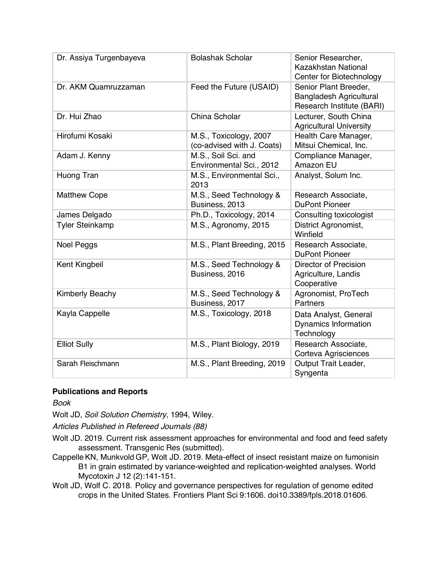| Dr. Assiya Turgenbayeva | <b>Bolashak Scholar</b>                              | Senior Researcher,<br>Kazakhstan National<br>Center for Biotechnology                |
|-------------------------|------------------------------------------------------|--------------------------------------------------------------------------------------|
| Dr. AKM Quamruzzaman    | Feed the Future (USAID)                              | Senior Plant Breeder,<br><b>Bangladesh Agricultural</b><br>Research Institute (BARI) |
| Dr. Hui Zhao            | China Scholar                                        | Lecturer, South China<br><b>Agricultural University</b>                              |
| Hirofumi Kosaki         | M.S., Toxicology, 2007<br>(co-advised with J. Coats) | Health Care Manager,<br>Mitsui Chemical, Inc.                                        |
| Adam J. Kenny           | M.S., Soil Sci. and<br>Environmental Sci., 2012      | Compliance Manager,<br>Amazon EU                                                     |
| Huong Tran              | M.S., Environmental Sci.,<br>2013                    | Analyst, Solum Inc.                                                                  |
| <b>Matthew Cope</b>     | M.S., Seed Technology &<br>Business, 2013            | Research Associate,<br><b>DuPont Pioneer</b>                                         |
| James Delgado           | Ph.D., Toxicology, 2014                              | Consulting toxicologist                                                              |
| <b>Tyler Steinkamp</b>  | M.S., Agronomy, 2015                                 | District Agronomist,<br>Winfield                                                     |
| <b>Noel Peggs</b>       | M.S., Plant Breeding, 2015                           | Research Associate,<br><b>DuPont Pioneer</b>                                         |
| Kent Kingbeil           | M.S., Seed Technology &<br>Business, 2016            | <b>Director of Precision</b><br>Agriculture, Landis<br>Cooperative                   |
| <b>Kimberly Beachy</b>  | M.S., Seed Technology &<br>Business, 2017            | Agronomist, ProTech<br><b>Partners</b>                                               |
| Kayla Cappelle          | M.S., Toxicology, 2018                               | Data Analyst, General<br><b>Dynamics Information</b><br>Technology                   |
| <b>Elliot Sully</b>     | M.S., Plant Biology, 2019                            | Research Associate,<br>Corteva Agrisciences                                          |
| Sarah Fleischmann       | M.S., Plant Breeding, 2019                           | Output Trait Leader,<br>Syngenta                                                     |

## **Publications and Reports**

*Book*

Wolt JD, *Soil Solution Chemistry*, 1994, Wiley.

*Articles Published in Refereed Journals (88)*

Wolt JD. 2019. Current risk assessment approaches for environmental and food and feed safety assessment. Transgenic Res (submitted).

CappelleKN, Munkvold GP, Wolt JD. 2019. Meta-effect of insect resistant maize on fumonisin B1 in grain estimated by variance-weighted and replication-weighted analyses. World Mycotoxin J 12 (2):141-151.

Wolt JD, Wolf C. 2018. Policy and governance perspectives for regulation of genome edited crops in the United States. Frontiers Plant Sci 9:1606. doi10.3389/fpls.2018.01606.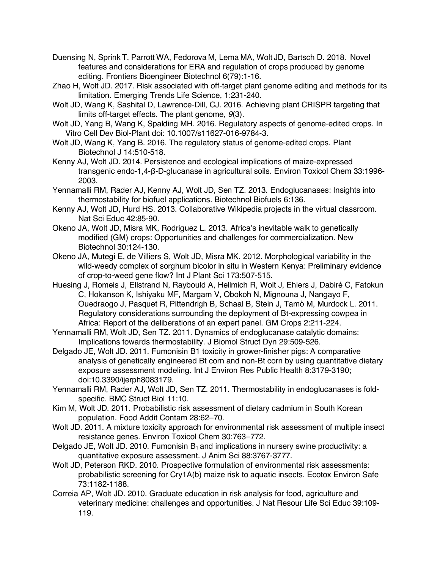- Duensing N, Sprink T, Parrott WA, Fedorova M, Lema MA, Wolt JD, Bartsch D. 2018. Novel features and considerations for ERA and regulation of crops produced by genome editing. Frontiers Bioengineer Biotechnol 6(79):1-16.
- Zhao H, Wolt JD. 2017. Risk associated with off-target plant genome editing and methods for its limitation. Emerging Trends Life Science, 1:231-240.
- Wolt JD, Wang K, Sashital D, Lawrence-Dill, CJ. 2016. Achieving plant CRISPR targeting that limits off-target effects. The plant genome, *9*(3).
- Wolt JD, Yang B, Wang K, Spalding MH. 2016. Regulatory aspects of genome-edited crops. In Vitro Cell Dev Biol-Plant doi: 10.1007/s11627-016-9784-3.
- Wolt JD, Wang K, Yang B. 2016. The regulatory status of genome-edited crops. Plant Biotechnol J 14:510-518.
- Kenny AJ, Wolt JD. 2014. Persistence and ecological implications of maize-expressed transgenic endo-1,4-β-D-glucanase in agricultural soils. Environ Toxicol Chem 33:1996- 2003.
- Yennamalli RM, Rader AJ, Kenny AJ, Wolt JD, Sen TZ. 2013. Endoglucanases: Insights into thermostability for biofuel applications. Biotechnol Biofuels 6:136.
- Kenny AJ, Wolt JD, Hurd HS. 2013. Collaborative Wikipedia projects in the virtual classroom. Nat Sci Educ 42:85-90.
- Okeno JA, Wolt JD, Misra MK, Rodriguez L. 2013. Africa's inevitable walk to genetically modified (GM) crops: Opportunities and challenges for commercialization. New Biotechnol 30:124-130.
- Okeno JA, Mutegi E, de Villiers S, Wolt JD, Misra MK. 2012. Morphological variability in the wild-weedy complex of sorghum bicolor in situ in Western Kenya: Preliminary evidence of crop-to-weed gene flow? Int J Plant Sci 173:507-515.
- Huesing J, Romeis J, Ellstrand N, Raybould A, Hellmich R, Wolt J, Ehlers J, Dabiré C, Fatokun C, Hokanson K, Ishiyaku MF, Margam V, Obokoh N, Mignouna J, Nangayo F, Ouedraogo J, Pasquet R, Pittendrigh B, Schaal B, Stein J, Tamò M, Murdock L. 2011. Regulatory considerations surrounding the deployment of Bt-expressing cowpea in Africa: Report of the deliberations of an expert panel. GM Crops 2:211-224.
- Yennamalli RM, Wolt JD, Sen TZ. 2011. Dynamics of endoglucanase catalytic domains: Implications towards thermostability. J Biomol Struct Dyn 29:509-526.
- Delgado JE, Wolt JD. 2011. Fumonisin B1 toxicity in grower-finisher pigs: A comparative analysis of genetically engineered Bt corn and non-Bt corn by using quantitative dietary exposure assessment modeling. Int J Environ Res Public Health 8:3179-3190; doi:10.3390/ijerph8083179.
- Yennamalli RM, Rader AJ, Wolt JD, Sen TZ. 2011. Thermostability in endoglucanases is foldspecific. BMC Struct Biol 11:10.
- Kim M, Wolt JD. 2011. Probabilistic risk assessment of dietary cadmium in South Korean population. Food Addit Contam 28:62–70.
- Wolt JD. 2011. A mixture toxicity approach for environmental risk assessment of multiple insect resistance genes. Environ Toxicol Chem 30:763–772.
- Delgado JE, Wolt JD. 2010. Fumonisin  $B_1$  and implications in nursery swine productivity: a quantitative exposure assessment. J Anim Sci 88:3767-3777.
- Wolt JD, Peterson RKD. 2010. Prospective formulation of environmental risk assessments: probabilistic screening for Cry1A(b) maize risk to aquatic insects. Ecotox Environ Safe 73:1182-1188.
- Correia AP, Wolt JD. 2010. Graduate education in risk analysis for food, agriculture and veterinary medicine: challenges and opportunities. J Nat Resour Life Sci Educ 39:109- 119.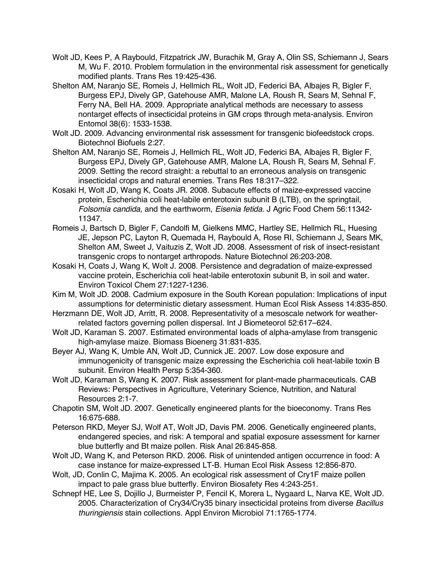- Wolt JD, Kees P, A Raybould, Fitzpatrick JW, Burachik M, Gray A, Olin SS, Schiemann J, Sears M, Wu F. 2010. Problem formulation in the environmental risk assessment for genetically modified plants. Trans Res 19:425-436.
- Shelton AM, Naranjo SE, Romeis J, Hellmich RL, Wolt JD, Federici BA, Albajes R, Bigler F, Burgess EPJ, Dively GP, Gatehouse AMR, Malone LA, Roush R, Sears M, Sehnal F, Ferry NA, Bell HA. 2009. Appropriate analytical methods are necessary to assess nontarget effects of insecticidal proteins in GM crops through meta-analysis. Environ Entomol 38(6): 1533-1538.
- Wolt JD. 2009. Advancing environmental risk assessment for transgenic biofeedstock crops. Biotechnol Biofuels 2:27.
- Shelton AM, Naranjo SE, Romeis J, Hellmich RL, Wolt JD, Federici BA, Albajes R, Bigler F, Burgess EPJ, Dively GP, Gatehouse AMR, Malone LA, Roush R, Sears M, Sehnal F. 2009. Setting the record straight: a rebuttal to an erroneous analysis on transgenic insecticidal crops and natural enemies. Trans Res 18:317–322.
- Kosaki H, Wolt JD, Wang K, Coats JR. 2008. Subacute effects of maize-expressed vaccine protein, Escherichia coli heat-labile enterotoxin subunit B (LTB), on the springtail, *Folsomia candida*, and the earthworm, *Eisenia fetida*. J Agric Food Chem 56:11342- 11347.
- Romeis J, Bartsch D, Bigler F, Candolfi M, Gielkens MMC, Hartley SE, Hellmich RL, Huesing JE, Jepson PC, Layton R, Quemada H, Raybould A, Rose RI, Schiemann J, Sears MK, Shelton AM, Sweet J, Vaituzis Z, Wolt JD. 2008. Assessment of risk of insect-resistant transgenic crops to nontarget arthropods. Nature Biotechnol 26:203-208.
- Kosaki H, Coats J, Wang K, Wolt J. 2008. Persistence and degradation of maize-expressed vaccine protein, Escherichia coli heat-labile enterotoxin subunit B, in soil and water. Environ Toxicol Chem 27:1227-1236.
- Kim M, Wolt JD. 2008. Cadmium exposure in the South Korean population: Implications of input assumptions for deterministic dietary assessment. Human Ecol Risk Assess 14:835-850.
- Herzmann DE, Wolt JD, Arritt, R. 2008. Representativity of a mesoscale network for weatherrelated factors governing pollen dispersal. Int J Biometeorol 52:617–624.
- Wolt JD, Karaman S. 2007. Estimated environmental loads of alpha-amylase from transgenic high-amylase maize. Biomass Bioenerg 31:831-835.
- Beyer AJ, Wang K, Umble AN, Wolt JD, Cunnick JE. 2007. Low dose exposure and immunogenicity of transgenic maize expressing the Escherichia coli heat-labile toxin B subunit. Environ Health Persp 5:354-360.
- Wolt JD, Karaman S, Wang K. 2007. Risk assessment for plant-made pharmaceuticals. CAB Reviews: Perspectives in Agriculture, Veterinary Science, Nutrition, and Natural Resources 2:1-7.
- Chapotin SM, Wolt JD. 2007. Genetically engineered plants for the bioeconomy. Trans Res 16:675-688.
- Peterson RKD, Meyer SJ, Wolf AT, Wolt JD, Davis PM. 2006. Genetically engineered plants, endangered species, and risk: A temporal and spatial exposure assessment for karner blue butterfly and Bt maize pollen. Risk Anal 26:845-858.
- Wolt JD, Wang K, and Peterson RKD. 2006. Risk of unintended antigen occurrence in food: A case instance for maize-expressed LT-B. Human Ecol Risk Assess 12:856-870.
- Wolt, JD, Conlin C, Majima K. 2005. An ecological risk assessment of Cry1F maize pollen impact to pale grass blue butterfly. Environ Biosafety Res 4:243-251.
- Schnepf HE, Lee S, Dojillo J, Burmeister P, Fencil K, Morera L, Nygaard L, Narva KE, Wolt JD. 2005. Characterization of Cry34/Cry35 binary insecticidal proteins from diverse *Bacillus thuringiensis* stain collections. Appl Environ Microbiol 71:1765-1774.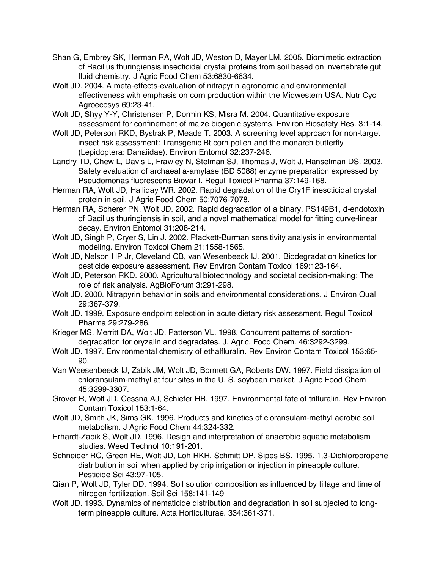- Shan G, Embrey SK, Herman RA, Wolt JD, Weston D, Mayer LM. 2005. Biomimetic extraction of Bacillus thuringiensis insecticidal crystal proteins from soil based on invertebrate gut fluid chemistry. J Agric Food Chem 53:6830-6634.
- Wolt JD. 2004. A meta-effects-evaluation of nitrapyrin agronomic and environmental effectiveness with emphasis on corn production within the Midwestern USA. Nutr Cycl Agroecosys 69:23-41.
- Wolt JD, Shyy Y-Y, Christensen P, Dormin KS, Misra M. 2004. Quantitative exposure assessment for confinement of maize biogenic systems. Environ Biosafety Res. 3:1-14.
- Wolt JD, Peterson RKD, Bystrak P, Meade T. 2003. A screening level approach for non-target insect risk assessment: Transgenic Bt corn pollen and the monarch butterfly (Lepidoptera: Danaiidae). Environ Entomol 32:237-246.
- Landry TD, Chew L, Davis L, Frawley N, Stelman SJ, Thomas J, Wolt J, Hanselman DS. 2003. Safety evaluation of archaeal a-amylase (BD 5088) enzyme preparation expressed by Pseudomonas fluorescens Biovar I. Regul Toxicol Pharma 37:149-168.
- Herman RA, Wolt JD, Halliday WR. 2002. Rapid degradation of the Cry1F inescticidal crystal protein in soil. J Agric Food Chem 50:7076-7078.
- Herman RA, Scherer PN, Wolt JD. 2002. Rapid degradation of a binary, PS149B1, d-endotoxin of Bacillus thuringiensis in soil, and a novel mathematical model for fitting curve-linear decay. Environ Entomol 31:208-214.
- Wolt JD, Singh P, Cryer S, Lin J. 2002. Plackett-Burman sensitivity analysis in environmental modeling. Environ Toxicol Chem 21:1558-1565.
- Wolt JD, Nelson HP Jr, Cleveland CB, van Wesenbeeck IJ. 2001. Biodegradation kinetics for pesticide exposure assessment. Rev Environ Contam Toxicol 169:123-164.
- Wolt JD, Peterson RKD. 2000. Agricultural biotechnology and societal decision-making: The role of risk analysis. AgBioForum 3:291-298.
- Wolt JD. 2000. Nitrapyrin behavior in soils and environmental considerations. J Environ Qual 29:367-379.
- Wolt JD. 1999. Exposure endpoint selection in acute dietary risk assessment. Regul Toxicol Pharma 29:279-286.
- Krieger MS, Merritt DA, Wolt JD, Patterson VL. 1998. Concurrent patterns of sorptiondegradation for oryzalin and degradates. J. Agric. Food Chem. 46:3292-3299.
- Wolt JD. 1997. Environmental chemistry of ethalfluralin. Rev Environ Contam Toxicol 153:65- 90.
- Van Weesenbeeck IJ, Zabik JM, Wolt JD, Bormett GA, Roberts DW. 1997. Field dissipation of chloransulam-methyl at four sites in the U. S. soybean market. J Agric Food Chem 45:3299-3307.
- Grover R, Wolt JD, Cessna AJ, Schiefer HB. 1997. Environmental fate of trifluralin. Rev Environ Contam Toxicol 153:1-64.
- Wolt JD, Smith JK, Sims GK. 1996. Products and kinetics of cloransulam-methyl aerobic soil metabolism. J Agric Food Chem 44:324-332.
- Erhardt-Zabik S, Wolt JD. 1996. Design and interpretation of anaerobic aquatic metabolism studies. Weed Technol 10:191-201.
- Schneider RC, Green RE, Wolt JD, Loh RKH, Schmitt DP, Sipes BS. 1995. 1,3-Dichloropropene distribution in soil when applied by drip irrigation or injection in pineapple culture. Pesticide Sci 43:97-105.
- Qian P, Wolt JD, Tyler DD. 1994. Soil solution composition as influenced by tillage and time of nitrogen fertilization. Soil Sci 158:141-149
- Wolt JD. 1993. Dynamics of nematicide distribution and degradation in soil subjected to longterm pineapple culture. Acta Horticulturae. 334:361-371.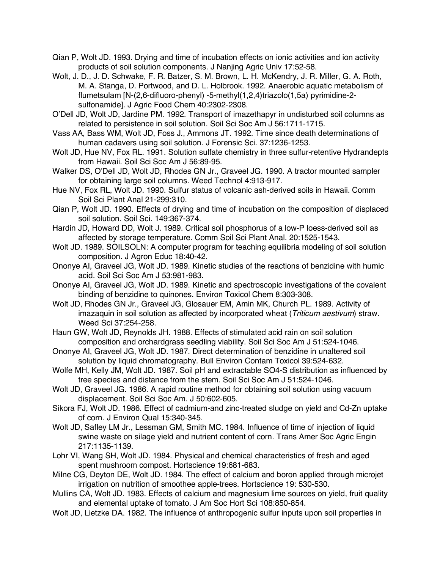- Qian P, Wolt JD. 1993. Drying and time of incubation effects on ionic activities and ion activity products of soil solution components. J Nanjing Agric Univ 17:52-58.
- Wolt, J. D., J. D. Schwake, F. R. Batzer, S. M. Brown, L. H. McKendry, J. R. Miller, G. A. Roth, M. A. Stanga, D. Portwood, and D. L. Holbrook. 1992. Anaerobic aquatic metabolism of flumetsulam [N-(2,6-difluoro-phenyl) -5-methyl(1,2,4)triazolo(1,5a) pyrimidine-2 sulfonamide]. J Agric Food Chem 40:2302-2308.
- O'Dell JD, Wolt JD, Jardine PM. 1992. Transport of imazethapyr in undisturbed soil columns as related to persistence in soil solution. Soil Sci Soc Am J 56:1711-1715.
- Vass AA, Bass WM, Wolt JD, Foss J., Ammons JT. 1992. Time since death determinations of human cadavers using soil solution. J Forensic Sci. 37:1236-1253.
- Wolt JD, Hue NV, Fox RL. 1991. Solution sulfate chemistry in three sulfur-retentive Hydrandepts from Hawaii. Soil Sci Soc Am J 56:89-95.
- Walker DS, O'Dell JD, Wolt JD, Rhodes GN Jr., Graveel JG. 1990. A tractor mounted sampler for obtaining large soil columns. Weed Technol 4:913-917.
- Hue NV, Fox RL, Wolt JD. 1990. Sulfur status of volcanic ash-derived soils in Hawaii. Comm Soil Sci Plant Anal 21-299:310.
- Qian P, Wolt JD. 1990. Effects of drying and time of incubation on the composition of displaced soil solution. Soil Sci. 149:367-374.
- Hardin JD, Howard DD, Wolt J. 1989. Critical soil phosphorus of a low-P loess-derived soil as affected by storage temperature. Comm Soil Sci Plant Anal. 20:1525-1543.
- Wolt JD. 1989. SOILSOLN: A computer program for teaching equilibria modeling of soil solution composition. J Agron Educ 18:40-42.
- Ononye AI, Graveel JG, Wolt JD. 1989. Kinetic studies of the reactions of benzidine with humic acid. Soil Sci Soc Am J 53:981-983.
- Ononye AI, Graveel JG, Wolt JD. 1989. Kinetic and spectroscopic investigations of the covalent binding of benzidine to quinones. Environ Toxicol Chem 8:303-308.
- Wolt JD, Rhodes GN Jr., Graveel JG, Glosauer EM, Amin MK, Church PL. 1989. Activity of imazaquin in soil solution as affected by incorporated wheat (*Triticum aestivum*) straw. Weed Sci 37:254-258.
- Haun GW, Wolt JD, Reynolds JH. 1988. Effects of stimulated acid rain on soil solution composition and orchardgrass seedling viability. Soil Sci Soc Am J 51:524-1046.
- Ononye AI, Graveel JG, Wolt JD. 1987. Direct determination of benzidine in unaltered soil solution by liquid chromatography. Bull Environ Contam Toxicol 39:524-632.
- Wolfe MH, Kelly JM, Wolt JD. 1987. Soil pH and extractable SO4-S distribution as influenced by tree species and distance from the stem. Soil Sci Soc Am J 51:524-1046.
- Wolt JD, Graveel JG. 1986. A rapid routine method for obtaining soil solution using vacuum displacement. Soil Sci Soc Am. J 50:602-605.
- Sikora FJ, Wolt JD. 1986. Effect of cadmium-and zinc-treated sludge on yield and Cd-Zn uptake of corn. J Environ Qual 15:340-345.
- Wolt JD, Safley LM Jr., Lessman GM, Smith MC. 1984. Influence of time of injection of liquid swine waste on silage yield and nutrient content of corn. Trans Amer Soc Agric Engin 217:1135-1139.
- Lohr VI, Wang SH, Wolt JD. 1984. Physical and chemical characteristics of fresh and aged spent mushroom compost. Hortscience 19:681-683.
- Milne CG, Deyton DE, Wolt JD. 1984. The effect of calcium and boron applied through microjet irrigation on nutrition of smoothee apple-trees. Hortscience 19: 530-530.
- Mullins CA, Wolt JD. 1983. Effects of calcium and magnesium lime sources on yield, fruit quality and elemental uptake of tomato. J Am Soc Hort Sci 108:850-854.
- Wolt JD, Lietzke DA. 1982. The influence of anthropogenic sulfur inputs upon soil properties in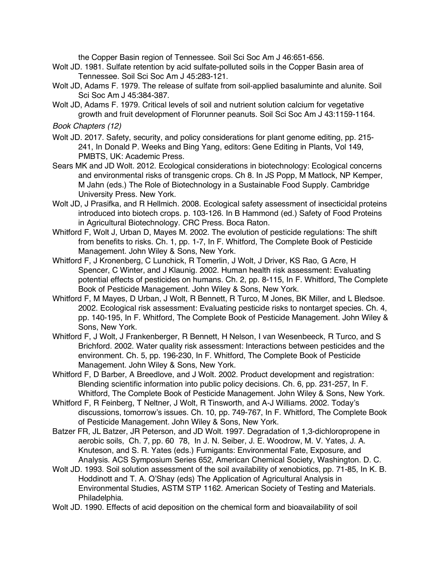the Copper Basin region of Tennessee. Soil Sci Soc Am J 46:651-656.

- Wolt JD. 1981. Sulfate retention by acid sulfate-polluted soils in the Copper Basin area of Tennessee. Soil Sci Soc Am J 45:283-121.
- Wolt JD, Adams F. 1979. The release of sulfate from soil-applied basaluminte and alunite. Soil Sci Soc Am J 45:384-387.
- Wolt JD, Adams F. 1979. Critical levels of soil and nutrient solution calcium for vegetative growth and fruit development of Florunner peanuts. Soil Sci Soc Am J 43:1159-1164.

*Book Chapters (12)*

- Wolt JD. 2017. Safety, security, and policy considerations for plant genome editing, pp. 215- 241, In Donald P. Weeks and Bing Yang, editors: Gene Editing in Plants, Vol 149, PMBTS, UK: Academic Press.
- Sears MK and JD Wolt. 2012. Ecological considerations in biotechnology: Ecological concerns and environmental risks of transgenic crops. Ch 8. In JS Popp, M Matlock, NP Kemper, M Jahn (eds.) The Role of Biotechnology in a Sustainable Food Supply. Cambridge University Press. New York.
- Wolt JD, J Prasifka, and R Hellmich. 2008. Ecological safety assessment of insecticidal proteins introduced into biotech crops. p. 103-126. In B Hammond (ed.) Safety of Food Proteins in Agricultural Biotechnology. CRC Press. Boca Raton.
- Whitford F, Wolt J, Urban D, Mayes M. 2002. The evolution of pesticide regulations: The shift from benefits to risks. Ch. 1, pp. 1-7, In F. Whitford, The Complete Book of Pesticide Management. John Wiley & Sons, New York.
- Whitford F, J Kronenberg, C Lunchick, R Tomerlin, J Wolt, J Driver, KS Rao, G Acre, H Spencer, C Winter, and J Klaunig. 2002. Human health risk assessment: Evaluating potential effects of pesticides on humans. Ch. 2, pp. 8-115, In F. Whitford, The Complete Book of Pesticide Management. John Wiley & Sons, New York.
- Whitford F, M Mayes, D Urban, J Wolt, R Bennett, R Turco, M Jones, BK Miller, and L Bledsoe. 2002. Ecological risk assessment: Evaluating pesticide risks to nontarget species. Ch. 4, pp. 140-195, In F. Whitford, The Complete Book of Pesticide Management. John Wiley & Sons, New York.
- Whitford F, J Wolt, J Frankenberger, R Bennett, H Nelson, I van Wesenbeeck, R Turco, and S Brichford. 2002. Water quality risk assessment: Interactions between pesticides and the environment. Ch. 5, pp. 196-230, In F. Whitford, The Complete Book of Pesticide Management. John Wiley & Sons, New York.
- Whitford F, D Barber, A Breedlove, and J Wolt. 2002. Product development and registration: Blending scientific information into public policy decisions. Ch. 6, pp. 231-257, In F. Whitford, The Complete Book of Pesticide Management. John Wiley & Sons, New York.
- Whitford F, R Feinberg, T Neltner, J Wolt, R Tinsworth, and A-J Williams. 2002. Today's discussions, tomorrow's issues. Ch. 10, pp. 749-767, In F. Whitford, The Complete Book of Pesticide Management. John Wiley & Sons, New York.
- Batzer FR, JL Batzer, JR Peterson, and JD Wolt. 1997. Degradation of 1,3-dichloropropene in aerobic soils, Ch. 7, pp. 60 78, In J. N. Seiber, J. E. Woodrow, M. V. Yates, J. A. Knuteson, and S. R. Yates (eds.) Fumigants: Environmental Fate, Exposure, and Analysis. ACS Symposium Series 652, American Chemical Society, Washington. D. C.
- Wolt JD. 1993. Soil solution assessment of the soil availability of xenobiotics, pp. 71-85, In K. B. Hoddinott and T. A. O'Shay (eds) The Application of Agricultural Analysis in Environmental Studies, ASTM STP 1162. American Society of Testing and Materials. Philadelphia.
- Wolt JD. 1990. Effects of acid deposition on the chemical form and bioavailability of soil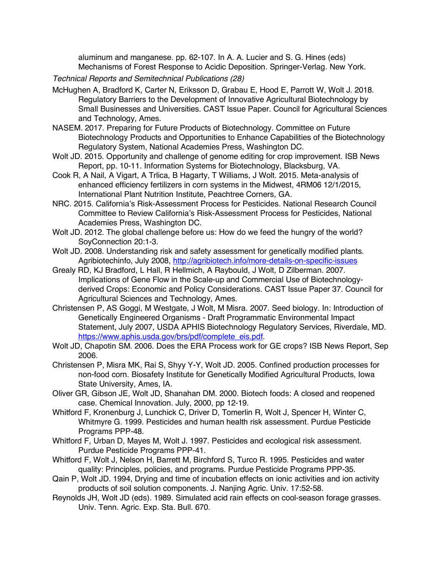aluminum and manganese. pp. 62-107. In A. A. Lucier and S. G. Hines (eds) Mechanisms of Forest Response to Acidic Deposition. Springer-Verlag. New York.

*Technical Reports and Semitechnical Publications (28)*

- McHughen A, Bradford K, Carter N, Eriksson D, Grabau E, Hood E, Parrott W, Wolt J. 2018. Regulatory Barriers to the Development of Innovative Agricultural Biotechnology by Small Businesses and Universities. CAST Issue Paper. Council for Agricultural Sciences and Technology, Ames.
- NASEM. 2017. Preparing for Future Products of Biotechnology. Committee on Future Biotechnology Products and Opportunities to Enhance Capabilities of the Biotechnology Regulatory System, National Academies Press, Washington DC.
- Wolt JD. 2015. Opportunity and challenge of genome editing for crop improvement. ISB News Report, pp. 10-11. Information Systems for Biotechnology, Blacksburg, VA.
- Cook R, A Nail, A Vigart, A Trlica, B Hagarty, T Williams, J Wolt. 2015. Meta-analysis of enhanced efficiency fertilizers in corn systems in the Midwest, 4RM06 12/1/2015, International Plant Nutrition Institute, Peachtree Corners, GA.
- NRC. 2015. California's Risk-Assessment Process for Pesticides. National Research Council Committee to Review California's Risk-Assessment Process for Pesticides, National Academies Press, Washington DC.
- Wolt JD. 2012. The global challenge before us: How do we feed the hungry of the world? SoyConnection 20:1-3.
- Wolt JD. 2008. Understanding risk and safety assessment for genetically modified plants. Agribiotechinfo, July 2008, http://agribiotech.info/more-details-on-specific-issues
- Grealy RD, KJ Bradford, L Hall, R Hellmich, A Raybould, J Wolt, D Zilberman. 2007. Implications of Gene Flow in the Scale-up and Commercial Use of Biotechnologyderived Crops: Economic and Policy Considerations. CAST Issue Paper 37. Council for Agricultural Sciences and Technology, Ames.
- Christensen P, AS Goggi, M Westgate, J Wolt, M Misra. 2007. Seed biology. In: Introduction of Genetically Engineered Organisms - Draft Programmatic Environmental Impact Statement, July 2007, USDA APHIS Biotechnology Regulatory Services, Riverdale, MD. https://www.aphis.usda.gov/brs/pdf/complete\_eis.pdf.
- Wolt JD, Chapotin SM. 2006. Does the ERA Process work for GE crops? ISB News Report, Sep 2006.
- Christensen P, Misra MK, Rai S, Shyy Y-Y, Wolt JD. 2005. Confined production processes for non-food corn. Biosafety Institute for Genetically Modified Agricultural Products, Iowa State University, Ames, IA.
- Oliver GR, Gibson JE, Wolt JD, Shanahan DM. 2000. Biotech foods: A closed and reopened case. Chemical Innovation. July, 2000, pp 12-19.
- Whitford F, Kronenburg J, Lunchick C, Driver D, Tomerlin R, Wolt J, Spencer H, Winter C, Whitmyre G. 1999. Pesticides and human health risk assessment. Purdue Pesticide Programs PPP-48.
- Whitford F, Urban D, Mayes M, Wolt J. 1997. Pesticides and ecological risk assessment. Purdue Pesticide Programs PPP-41.
- Whitford F, Wolt J, Nelson H, Barrett M, Birchford S, Turco R. 1995. Pesticides and water quality: Principles, policies, and programs. Purdue Pesticide Programs PPP-35.
- Qain P, Wolt JD. 1994, Drying and time of incubation effects on ionic activities and ion activity products of soil solution components. J. Nanjing Agric. Univ. 17:52-58.
- Reynolds JH, Wolt JD (eds). 1989. Simulated acid rain effects on cool-season forage grasses. Univ. Tenn. Agric. Exp. Sta. Bull. 670.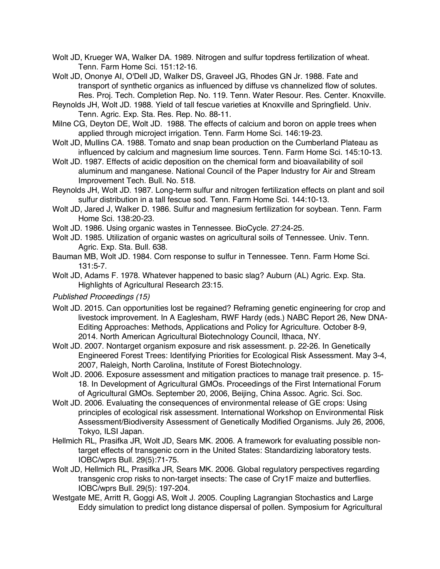Wolt JD, Krueger WA, Walker DA. 1989. Nitrogen and sulfur topdress fertilization of wheat. Tenn. Farm Home Sci. 151:12-16.

Wolt JD, Ononye AI, O'Dell JD, Walker DS, Graveel JG, Rhodes GN Jr. 1988. Fate and transport of synthetic organics as influenced by diffuse vs channelized flow of solutes. Res. Proj. Tech. Completion Rep. No. 119. Tenn. Water Resour. Res. Center. Knoxville.

- Reynolds JH, Wolt JD. 1988. Yield of tall fescue varieties at Knoxville and Springfield. Univ. Tenn. Agric. Exp. Sta. Res. Rep. No. 88-11.
- Milne CG, Deyton DE, Wolt JD. 1988. The effects of calcium and boron on apple trees when applied through microject irrigation. Tenn. Farm Home Sci. 146:19-23.
- Wolt JD, Mullins CA. 1988. Tomato and snap bean production on the Cumberland Plateau as influenced by calcium and magnesium lime sources. Tenn. Farm Home Sci. 145:10-13.
- Wolt JD. 1987. Effects of acidic deposition on the chemical form and bioavailability of soil aluminum and manganese. National Council of the Paper Industry for Air and Stream Improvement Tech. Bull. No. 518.
- Reynolds JH, Wolt JD. 1987. Long-term sulfur and nitrogen fertilization effects on plant and soil sulfur distribution in a tall fescue sod. Tenn. Farm Home Sci. 144:10-13.
- Wolt JD, Jared J, Walker D. 1986. Sulfur and magnesium fertilization for soybean. Tenn. Farm Home Sci. 138:20-23.
- Wolt JD. 1986. Using organic wastes in Tennessee. BioCycle. 27:24-25.
- Wolt JD. 1985. Utilization of organic wastes on agricultural soils of Tennessee. Univ. Tenn. Agric. Exp. Sta. Bull. 638.
- Bauman MB, Wolt JD. 1984. Corn response to sulfur in Tennessee. Tenn. Farm Home Sci. 131:5-7.
- Wolt JD, Adams F. 1978. Whatever happened to basic slag? Auburn (AL) Agric. Exp. Sta. Highlights of Agricultural Research 23:15.
- *Published Proceedings (15)*
- Wolt JD. 2015. Can opportunities lost be regained? Reframing genetic engineering for crop and livestock improvement. In A Eaglesham, RWF Hardy (eds.) NABC Report 26, New DNA-Editing Approaches: Methods, Applications and Policy for Agriculture. October 8-9, 2014. North American Agricultural Biotechnology Council, Ithaca, NY.
- Wolt JD. 2007. Nontarget organism exposure and risk assessment. p. 22-26. In Genetically Engineered Forest Trees: Identifying Priorities for Ecological Risk Assessment. May 3-4, 2007, Raleigh, North Carolina, Institute of Forest Biotechnology.
- Wolt JD. 2006. Exposure assessment and mitigation practices to manage trait presence. p. 15- 18. In Development of Agricultural GMOs. Proceedings of the First International Forum of Agricultural GMOs. September 20, 2006, Beijing, China Assoc. Agric. Sci. Soc.
- Wolt JD. 2006. Evaluating the consequences of environmental release of GE crops: Using principles of ecological risk assessment. International Workshop on Environmental Risk Assessment/Biodiversity Assessment of Genetically Modified Organisms. July 26, 2006, Tokyo, ILSI Japan.
- Hellmich RL, Prasifka JR, Wolt JD, Sears MK. 2006. A framework for evaluating possible nontarget effects of transgenic corn in the United States: Standardizing laboratory tests. IOBC/wprs Bull. 29(5):71-75.
- Wolt JD, Hellmich RL, Prasifka JR, Sears MK. 2006. Global regulatory perspectives regarding transgenic crop risks to non-target insects: The case of Cry1F maize and butterflies. IOBC/wprs Bull. 29(5): 197-204.
- Westgate ME, Arritt R, Goggi AS, Wolt J. 2005. Coupling Lagrangian Stochastics and Large Eddy simulation to predict long distance dispersal of pollen. Symposium for Agricultural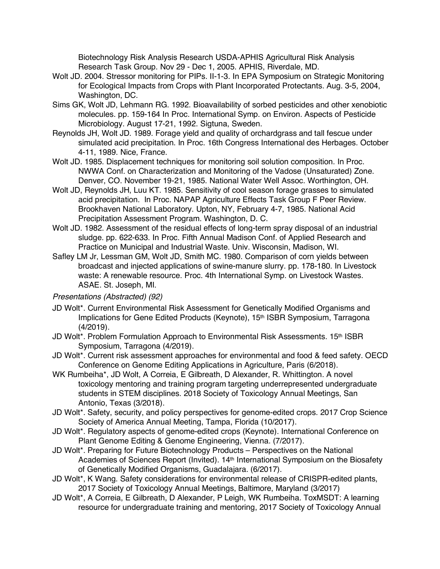Biotechnology Risk Analysis Research USDA-APHIS Agricultural Risk Analysis Research Task Group. Nov 29 - Dec 1, 2005. APHIS, Riverdale, MD.

- Wolt JD. 2004. Stressor monitoring for PIPs. II-1-3. In EPA Symposium on Strategic Monitoring for Ecological Impacts from Crops with Plant Incorporated Protectants. Aug. 3-5, 2004, Washington, DC.
- Sims GK, Wolt JD, Lehmann RG. 1992. Bioavailability of sorbed pesticides and other xenobiotic molecules. pp. 159-164 In Proc. International Symp. on Environ. Aspects of Pesticide Microbiology. August 17-21, 1992. Sigtuna, Sweden.
- Reynolds JH, Wolt JD. 1989. Forage yield and quality of orchardgrass and tall fescue under simulated acid precipitation. In Proc. 16th Congress International des Herbages. October 4-11, 1989. Nice, France.
- Wolt JD. 1985. Displacement techniques for monitoring soil solution composition. In Proc. NWWA Conf. on Characterization and Monitoring of the Vadose (Unsaturated) Zone. Denver, CO. November 19-21, 1985. National Water Well Assoc. Worthington, OH.
- Wolt JD, Reynolds JH, Luu KT. 1985. Sensitivity of cool season forage grasses to simulated acid precipitation. In Proc. NAPAP Agriculture Effects Task Group F Peer Review. Brookhaven National Laboratory. Upton, NY, February 4-7, 1985. National Acid Precipitation Assessment Program. Washington, D. C.
- Wolt JD. 1982. Assessment of the residual effects of long-term spray disposal of an industrial sludge. pp. 622-633. In Proc. Fifth Annual Madison Conf. of Applied Research and Practice on Municipal and Industrial Waste. Univ. Wisconsin, Madison, WI.
- Safley LM Jr, Lessman GM, Wolt JD, Smith MC. 1980. Comparison of corn yields between broadcast and injected applications of swine-manure slurry. pp. 178-180. In Livestock waste: A renewable resource. Proc. 4th International Symp. on Livestock Wastes. ASAE. St. Joseph, MI.

## *Presentations (Abstracted) (92)*

- JD Wolt\*. Current Environmental Risk Assessment for Genetically Modified Organisms and Implications for Gene Edited Products (Keynote), 15<sup>th</sup> ISBR Symposium, Tarragona (4/2019).
- JD Wolt\*. Problem Formulation Approach to Environmental Risk Assessments. 15<sup>th</sup> ISBR Symposium, Tarragona (4/2019).
- JD Wolt\*. Current risk assessment approaches for environmental and food & feed safety. OECD Conference on Genome Editing Applications in Agriculture, Paris (6/2018).
- WK Rumbeiha\*, JD Wolt, A Correia, E Gilbreath, D Alexander, R. Whittington. A novel toxicology mentoring and training program targeting underrepresented undergraduate students in STEM disciplines. 2018 Society of Toxicology Annual Meetings, San Antonio, Texas (3/2018).
- JD Wolt\*. Safety, security, and policy perspectives for genome-edited crops. 2017 Crop Science Society of America Annual Meeting, Tampa, Florida (10/2017).
- JD Wolt\*. Regulatory aspects of genome-edited crops (Keynote). International Conference on Plant Genome Editing & Genome Engineering, Vienna. (7/2017).
- JD Wolt\*. Preparing for Future Biotechnology Products Perspectives on the National Academies of Sciences Report (Invited). 14<sup>th</sup> International Symposium on the Biosafety of Genetically Modified Organisms, Guadalajara. (6/2017).
- JD Wolt\*, K Wang. Safety considerations for environmental release of CRISPR-edited plants, 2017 Society of Toxicology Annual Meetings, Baltimore, Maryland (3/2017)
- JD Wolt\*, A Correia, E Gilbreath, D Alexander, P Leigh, WK Rumbeiha. ToxMSDT: A learning resource for undergraduate training and mentoring, 2017 Society of Toxicology Annual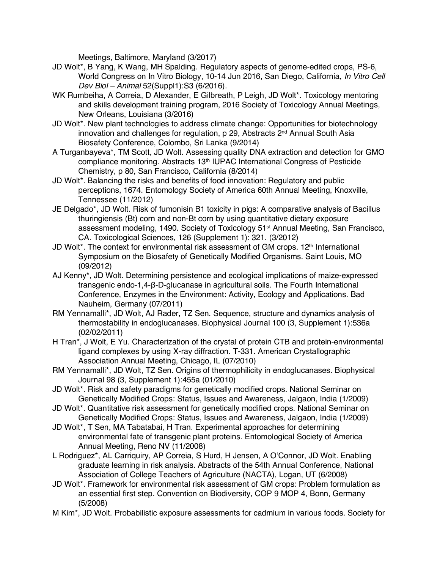Meetings, Baltimore, Maryland (3/2017)

- JD Wolt\*, B Yang, K Wang, MH Spalding. Regulatory aspects of genome-edited crops, PS-6, World Congress on In Vitro Biology, 10-14 Jun 2016, San Diego, California, *In Vitro Cell Dev Biol – Animal* 52(Suppl1):S3 (6/2016).
- WK Rumbeiha, A Correia, D Alexander, E Gilbreath, P Leigh, JD Wolt\*. Toxicology mentoring and skills development training program, 2016 Society of Toxicology Annual Meetings, New Orleans, Louisiana (3/2016)
- JD Wolt\*. New plant technologies to address climate change: Opportunities for biotechnology innovation and challenges for regulation, p 29, Abstracts 2<sup>nd</sup> Annual South Asia Biosafety Conference, Colombo, Sri Lanka (9/2014)
- A Turganbayeva\*, TM Scott, JD Wolt. Assessing quality DNA extraction and detection for GMO compliance monitoring. Abstracts 13th IUPAC International Congress of Pesticide Chemistry, p 80, San Francisco, California (8/2014)
- JD Wolt\*. Balancing the risks and benefits of food innovation: Regulatory and public perceptions, 1674. Entomology Society of America 60th Annual Meeting, Knoxville, Tennessee (11/2012)
- JE Delgado\*, JD Wolt. Risk of fumonisin B1 toxicity in pigs: A comparative analysis of Bacillus thuringiensis (Bt) corn and non-Bt corn by using quantitative dietary exposure assessment modeling, 1490. Society of Toxicology 51st Annual Meeting, San Francisco, CA. Toxicological Sciences, 126 (Supplement 1): 321. (3/2012)
- JD Wolt\*. The context for environmental risk assessment of GM crops. 12<sup>th</sup> International Symposium on the Biosafety of Genetically Modified Organisms. Saint Louis, MO (09/2012)
- AJ Kenny\*, JD Wolt. Determining persistence and ecological implications of maize-expressed transgenic endo-1,4-β-D-glucanase in agricultural soils. The Fourth International Conference, Enzymes in the Environment: Activity, Ecology and Applications. Bad Nauheim, Germany (07/2011)
- RM Yennamalli\*, JD Wolt, AJ Rader, TZ Sen. Sequence, structure and dynamics analysis of thermostability in endoglucanases. Biophysical Journal 100 (3, Supplement 1):536a (02/02/2011)
- H Tran\*, J Wolt, E Yu. Characterization of the crystal of protein CTB and protein-environmental ligand complexes by using X-ray diffraction. T-331. American Crystallographic Association Annual Meeting, Chicago, IL (07/2010)
- RM Yennamalli\*, JD Wolt, TZ Sen. Origins of thermophilicity in endoglucanases. Biophysical Journal 98 (3, Supplement 1):455a (01/2010)
- JD Wolt\*. Risk and safety paradigms for genetically modified crops. National Seminar on Genetically Modified Crops: Status, Issues and Awareness, Jalgaon, India (1/2009)
- JD Wolt\*. Quantitative risk assessment for genetically modified crops. National Seminar on Genetically Modified Crops: Status, Issues and Awareness, Jalgaon, India (1/2009)
- JD Wolt\*, T Sen, MA Tabatabai, H Tran. Experimental approaches for determining environmental fate of transgenic plant proteins. Entomological Society of America Annual Meeting, Reno NV (11/2008)
- L Rodriguez\*, AL Carriquiry, AP Correia, S Hurd, H Jensen, A O'Connor, JD Wolt. Enabling graduate learning in risk analysis. Abstracts of the 54th Annual Conference, National Association of College Teachers of Agriculture (NACTA), Logan, UT (6/2008)
- JD Wolt\*. Framework for environmental risk assessment of GM crops: Problem formulation as an essential first step. Convention on Biodiversity, COP 9 MOP 4, Bonn, Germany (5/2008)
- M Kim\*, JD Wolt. Probabilistic exposure assessments for cadmium in various foods. Society for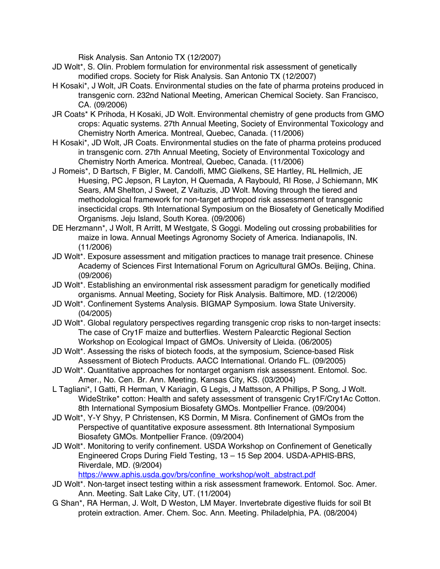Risk Analysis. San Antonio TX (12/2007)

- JD Wolt\*, S. Olin. Problem formulation for environmental risk assessment of genetically modified crops. Society for Risk Analysis. San Antonio TX (12/2007)
- H Kosaki\*, J Wolt, JR Coats. Environmental studies on the fate of pharma proteins produced in transgenic corn. 232nd National Meeting, American Chemical Society. San Francisco, CA. (09/2006)
- JR Coats\* K Prihoda, H Kosaki, JD Wolt. Environmental chemistry of gene products from GMO crops: Aquatic systems. 27th Annual Meeting, Society of Environmental Toxicology and Chemistry North America. Montreal, Quebec, Canada. (11/2006)
- H Kosaki\*, JD Wolt, JR Coats. Environmental studies on the fate of pharma proteins produced in transgenic corn. 27th Annual Meeting, Society of Environmental Toxicology and Chemistry North America. Montreal, Quebec, Canada. (11/2006)
- J Romeis\*, D Bartsch, F Bigler, M. Candolfi, MMC Gielkens, SE Hartley, RL Hellmich, JE Huesing, PC Jepson, R Layton, H Quemada, A Raybould, RI Rose, J Schiemann, MK Sears, AM Shelton, J Sweet, Z Vaituzis, JD Wolt. Moving through the tiered and methodological framework for non-target arthropod risk assessment of transgenic insecticidal crops. 9th International Symposium on the Biosafety of Genetically Modified Organisms. Jeju Island, South Korea. (09/2006)
- DE Herzmann\*, J Wolt, R Arritt, M Westgate, S Goggi. Modeling out crossing probabilities for maize in Iowa. Annual Meetings Agronomy Society of America. Indianapolis, IN. (11/2006)
- JD Wolt\*. Exposure assessment and mitigation practices to manage trait presence. Chinese Academy of Sciences First International Forum on Agricultural GMOs. Beijing, China. (09/2006)
- JD Wolt\*. Establishing an environmental risk assessment paradigm for genetically modified organisms. Annual Meeting, Society for Risk Analysis. Baltimore, MD. (12/2006)
- JD Wolt\*. Confinement Systems Analysis. BIGMAP Symposium. Iowa State University. (04/2005)
- JD Wolt\*. Global regulatory perspectives regarding transgenic crop risks to non-target insects: The case of Cry1F maize and butterflies. Western Palearctic Regional Section Workshop on Ecological Impact of GMOs. University of Lleida. (06/2005)
- JD Wolt\*. Assessing the risks of biotech foods, at the symposium, Science-based Risk Assessment of Biotech Products. AACC International. Orlando FL. (09/2005)
- JD Wolt\*. Quantitative approaches for nontarget organism risk assessment. Entomol. Soc. Amer., No. Cen. Br. Ann. Meeting. Kansas City, KS. (03/2004)
- L Tagliani\*, I Gatti, R Herman, V Kariagin, G Legis, J Mattsson, A Phillips, P Song, J Wolt. WideStrike\* cotton: Health and safety assessment of transgenic Cry1F/Cry1Ac Cotton. 8th International Symposium Biosafety GMOs. Montpellier France. (09/2004)
- JD Wolt\*, Y-Y Shyy, P Christensen, KS Dormin, M Misra. Confinement of GMOs from the Perspective of quantitative exposure assessment. 8th International Symposium Biosafety GMOs. Montpellier France. (09/2004)
- JD Wolt\*. Monitoring to verify confinement. USDA Workshop on Confinement of Genetically Engineered Crops During Field Testing, 13 – 15 Sep 2004. USDA-APHIS-BRS, Riverdale, MD. (9/2004)

https://www.aphis.usda.gov/brs/confine\_workshop/wolt\_abstract.pdf

- JD Wolt\*. Non-target insect testing within a risk assessment framework. Entomol. Soc. Amer. Ann. Meeting. Salt Lake City, UT. (11/2004)
- G Shan\*, RA Herman, J. Wolt, D Weston, LM Mayer. Invertebrate digestive fluids for soil Bt protein extraction. Amer. Chem. Soc. Ann. Meeting. Philadelphia, PA. (08/2004)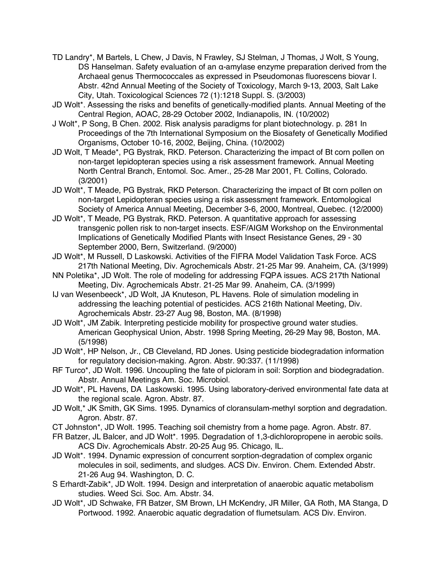- TD Landry\*, M Bartels, L Chew, J Davis, N Frawley, SJ Stelman, J Thomas, J Wolt, S Young, DS Hanselman. Safety evaluation of an α-amylase enzyme preparation derived from the Archaeal genus Thermococcales as expressed in Pseudomonas fluorescens biovar I. Abstr. 42nd Annual Meeting of the Society of Toxicology, March 9-13, 2003, Salt Lake City, Utah. Toxicological Sciences 72 (1):1218 Suppl. S. (3/2003)
- JD Wolt\*. Assessing the risks and benefits of genetically-modified plants. Annual Meeting of the Central Region, AOAC, 28-29 October 2002, Indianapolis, IN. (10/2002)
- J Wolt\*, P Song, B Chen. 2002. Risk analysis paradigms for plant biotechnology. p. 281 In Proceedings of the 7th International Symposium on the Biosafety of Genetically Modified Organisms, October 10-16, 2002, Beijing, China. (10/2002)
- JD Wolt, T Meade\*, PG Bystrak, RKD. Peterson. Characterizing the impact of Bt corn pollen on non-target lepidopteran species using a risk assessment framework. Annual Meeting North Central Branch, Entomol. Soc. Amer., 25-28 Mar 2001, Ft. Collins, Colorado. (3/2001)
- JD Wolt\*, T Meade, PG Bystrak, RKD Peterson. Characterizing the impact of Bt corn pollen on non-target Lepidopteran species using a risk assessment framework. Entomological Society of America Annual Meeting, December 3-6, 2000, Montreal, Quebec. (12/2000)
- JD Wolt\*, T Meade, PG Bystrak, RKD. Peterson. A quantitative approach for assessing transgenic pollen risk to non-target insects. ESF/AIGM Workshop on the Environmental Implications of Genetically Modified Plants with Insect Resistance Genes, 29 - 30 September 2000, Bern, Switzerland. (9/2000)
- JD Wolt\*, M Russell, D Laskowski. Activities of the FIFRA Model Validation Task Force. ACS 217th National Meeting, Div. Agrochemicals Abstr. 21-25 Mar 99. Anaheim, CA. (3/1999)
- NN Poletika\*, JD Wolt. The role of modeling for addressing FQPA issues. ACS 217th National Meeting, Div. Agrochemicals Abstr. 21-25 Mar 99. Anaheim, CA. (3/1999)
- IJ van Wesenbeeck\*, JD Wolt, JA Knuteson, PL Havens. Role of simulation modeling in addressing the leaching potential of pesticides. ACS 216th National Meeting, Div. Agrochemicals Abstr. 23-27 Aug 98, Boston, MA. (8/1998)
- JD Wolt\*, JM Zabik. Interpreting pesticide mobility for prospective ground water studies. American Geophysical Union, Abstr. 1998 Spring Meeting, 26-29 May 98, Boston, MA. (5/1998)
- JD Wolt\*, HP Nelson, Jr., CB Cleveland, RD Jones. Using pesticide biodegradation information for regulatory decision-making. Agron. Abstr. 90:337. (11/1998)
- RF Turco\*, JD Wolt. 1996. Uncoupling the fate of picloram in soil: Sorption and biodegradation. Abstr. Annual Meetings Am. Soc. Microbiol.
- JD Wolt\*, PL Havens, DA Laskowski. 1995. Using laboratory-derived environmental fate data at the regional scale. Agron. Abstr. 87.
- JD Wolt,\* JK Smith, GK Sims. 1995. Dynamics of cloransulam-methyl sorption and degradation. Agron. Abstr. 87.
- CT Johnston\*, JD Wolt. 1995. Teaching soil chemistry from a home page. Agron. Abstr. 87.
- FR Batzer, JL Balcer, and JD Wolt\*. 1995. Degradation of 1,3-dichloropropene in aerobic soils. ACS Div. Agrochemicals Abstr. 20-25 Aug 95. Chicago, IL.
- JD Wolt\*. 1994. Dynamic expression of concurrent sorption-degradation of complex organic molecules in soil, sediments, and sludges. ACS Div. Environ. Chem. Extended Abstr. 21-26 Aug 94. Washington, D. C.
- S Erhardt-Zabik\*, JD Wolt. 1994. Design and interpretation of anaerobic aquatic metabolism studies. Weed Sci. Soc. Am. Abstr. 34.
- JD Wolt\*, JD Schwake, FR Batzer, SM Brown, LH McKendry, JR Miller, GA Roth, MA Stanga, D Portwood. 1992. Anaerobic aquatic degradation of flumetsulam. ACS Div. Environ.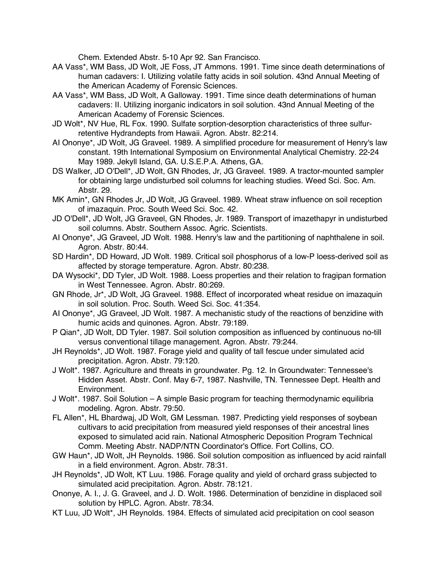Chem. Extended Abstr. 5-10 Apr 92. San Francisco.

- AA Vass\*, WM Bass, JD Wolt, JE Foss, JT Ammons. 1991. Time since death determinations of human cadavers: I. Utilizing volatile fatty acids in soil solution. 43nd Annual Meeting of the American Academy of Forensic Sciences.
- AA Vass\*, WM Bass, JD Wolt, A Galloway. 1991. Time since death determinations of human cadavers: II. Utilizing inorganic indicators in soil solution. 43nd Annual Meeting of the American Academy of Forensic Sciences.
- JD Wolt\*, NV Hue, RL Fox. 1990. Sulfate sorption-desorption characteristics of three sulfurretentive Hydrandepts from Hawaii. Agron. Abstr. 82:214.
- AI Ononye\*, JD Wolt, JG Graveel. 1989. A simplified procedure for measurement of Henry's law constant. 19th International Symposium on Environmental Analytical Chemistry. 22-24 May 1989. Jekyll Island, GA. U.S.E.P.A. Athens, GA.
- DS Walker, JD O'Dell\*, JD Wolt, GN Rhodes, Jr, JG Graveel. 1989. A tractor-mounted sampler for obtaining large undisturbed soil columns for leaching studies. Weed Sci. Soc. Am. Abstr. 29.
- MK Amin\*, GN Rhodes Jr, JD Wolt, JG Graveel. 1989. Wheat straw influence on soil reception of imazaquin. Proc. South Weed Sci. Soc. 42.
- JD O'Dell\*, JD Wolt, JG Graveel, GN Rhodes, Jr. 1989. Transport of imazethapyr in undisturbed soil columns. Abstr. Southern Assoc. Agric. Scientists.
- AI Ononye\*, JG Graveel, JD Wolt. 1988. Henry's law and the partitioning of naphthalene in soil. Agron. Abstr. 80:44.
- SD Hardin\*, DD Howard, JD Wolt. 1989. Critical soil phosphorus of a low-P loess-derived soil as affected by storage temperature. Agron. Abstr. 80:238.
- DA Wysocki\*, DD Tyler, JD Wolt. 1988. Loess properties and their relation to fragipan formation in West Tennessee. Agron. Abstr. 80:269.
- GN Rhode, Jr\*, JD Wolt, JG Graveel. 1988. Effect of incorporated wheat residue on imazaquin in soil solution. Proc. South. Weed Sci. Soc. 41:354.
- AI Ononye\*, JG Graveel, JD Wolt. 1987. A mechanistic study of the reactions of benzidine with humic acids and quinones. Agron. Abstr. 79:189.
- P Qian\*, JD Wolt, DD Tyler. 1987. Soil solution composition as influenced by continuous no-till versus conventional tillage management. Agron. Abstr. 79:244.
- JH Reynolds\*, JD Wolt. 1987. Forage yield and quality of tall fescue under simulated acid precipitation. Agron. Abstr. 79:120.
- J Wolt\*. 1987. Agriculture and threats in groundwater. Pg. 12. In Groundwater: Tennessee's Hidden Asset. Abstr. Conf. May 6-7, 1987. Nashville, TN. Tennessee Dept. Health and Environment.
- J Wolt\*. 1987. Soil Solution A simple Basic program for teaching thermodynamic equilibria modeling. Agron. Abstr. 79:50.
- FL Allen\*, HL Bhardwaj, JD Wolt, GM Lessman. 1987. Predicting yield responses of soybean cultivars to acid precipitation from measured yield responses of their ancestral lines exposed to simulated acid rain. National Atmospheric Deposition Program Technical Comm. Meeting Abstr. NADP/NTN Coordinator's Office. Fort Collins, CO.
- GW Haun\*, JD Wolt, JH Reynolds. 1986. Soil solution composition as influenced by acid rainfall in a field environment. Agron. Abstr. 78:31.
- JH Reynolds\*, JD Wolt, KT Luu. 1986. Forage quality and yield of orchard grass subjected to simulated acid precipitation. Agron. Abstr. 78:121.
- Ononye, A. I., J. G. Graveel, and J. D. Wolt. 1986. Determination of benzidine in displaced soil solution by HPLC. Agron. Abstr. 78:34.
- KT Luu, JD Wolt\*, JH Reynolds. 1984. Effects of simulated acid precipitation on cool season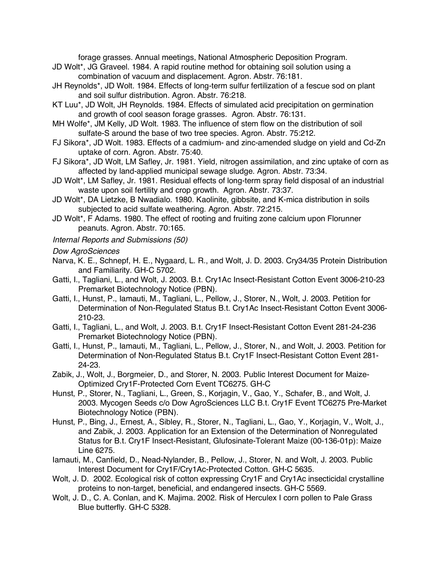forage grasses. Annual meetings, National Atmospheric Deposition Program.

- JD Wolt\*, JG Graveel. 1984. A rapid routine method for obtaining soil solution using a combination of vacuum and displacement. Agron. Abstr. 76:181.
- JH Reynolds\*, JD Wolt. 1984. Effects of long-term sulfur fertilization of a fescue sod on plant and soil sulfur distribution. Agron. Abstr. 76:218.
- KT Luu\*, JD Wolt, JH Reynolds. 1984. Effects of simulated acid precipitation on germination and growth of cool season forage grasses. Agron. Abstr. 76:131.
- MH Wolfe\*, JM Kelly, JD Wolt. 1983. The influence of stem flow on the distribution of soil sulfate-S around the base of two tree species. Agron. Abstr. 75:212.
- FJ Sikora\*, JD Wolt. 1983. Effects of a cadmium- and zinc-amended sludge on yield and Cd-Zn uptake of corn. Agron. Abstr. 75:40.
- FJ Sikora\*, JD Wolt, LM Safley, Jr. 1981. Yield, nitrogen assimilation, and zinc uptake of corn as affected by land-applied municipal sewage sludge. Agron. Abstr. 73:34.
- JD Wolt\*, LM Safley, Jr. 1981. Residual effects of long-term spray field disposal of an industrial waste upon soil fertility and crop growth. Agron. Abstr. 73:37.
- JD Wolt\*, DA Lietzke, B Nwadialo. 1980. Kaolinite, gibbsite, and K-mica distribution in soils subjected to acid sulfate weathering. Agron. Abstr. 72:215.
- JD Wolt\*, F Adams. 1980. The effect of rooting and fruiting zone calcium upon Florunner peanuts. Agron. Abstr. 70:165.
- *Internal Reports and Submissions (50)*

*Dow AgroSciences*

- Narva, K. E., Schnepf, H. E., Nygaard, L. R., and Wolt, J. D. 2003. Cry34/35 Protein Distribution and Familiarity. GH-C 5702.
- Gatti, I., Tagliani, L., and Wolt, J. 2003. B.t. Cry1Ac Insect-Resistant Cotton Event 3006-210-23 Premarket Biotechnology Notice (PBN).
- Gatti, I., Hunst, P., Iamauti, M., Tagliani, L., Pellow, J., Storer, N., Wolt, J. 2003. Petition for Determination of Non-Regulated Status B.t. Cry1Ac Insect-Resistant Cotton Event 3006- 210-23.
- Gatti, I., Tagliani, L., and Wolt, J. 2003. B.t. Cry1F Insect-Resistant Cotton Event 281-24-236 Premarket Biotechnology Notice (PBN).
- Gatti, I., Hunst, P., Iamauti, M., Tagliani, L., Pellow, J., Storer, N., and Wolt, J. 2003. Petition for Determination of Non-Regulated Status B.t. Cry1F Insect-Resistant Cotton Event 281- 24-23.
- Zabik, J., Wolt, J., Borgmeier, D., and Storer, N. 2003. Public Interest Document for Maize-Optimized Cry1F-Protected Corn Event TC6275. GH-C
- Hunst, P., Storer, N., Tagliani, L., Green, S., Korjagin, V., Gao, Y., Schafer, B., and Wolt, J. 2003. Mycogen Seeds c/o Dow AgroSciences LLC B.t. Cry1F Event TC6275 Pre-Market Biotechnology Notice (PBN).
- Hunst, P., Bing, J., Ernest, A., Sibley, R., Storer, N., Tagliani, L., Gao, Y., Korjagin, V., Wolt, J., and Zabik, J. 2003. Application for an Extension of the Determination of Nonregulated Status for B.t. Cry1F Insect-Resistant, Glufosinate-Tolerant Maize (00-136-01p): Maize Line 6275.
- Iamauti, M., Canfield, D., Nead-Nylander, B., Pellow, J., Storer, N. and Wolt, J. 2003. Public Interest Document for Cry1F/Cry1Ac-Protected Cotton. GH-C 5635.
- Wolt, J. D. 2002. Ecological risk of cotton expressing Cry1F and Cry1Ac insecticidal crystalline proteins to non-target, beneficial, and endangered insects. GH-C 5569.
- Wolt, J. D., C. A. Conlan, and K. Majima. 2002. Risk of Herculex I corn pollen to Pale Grass Blue butterfly. GH-C 5328.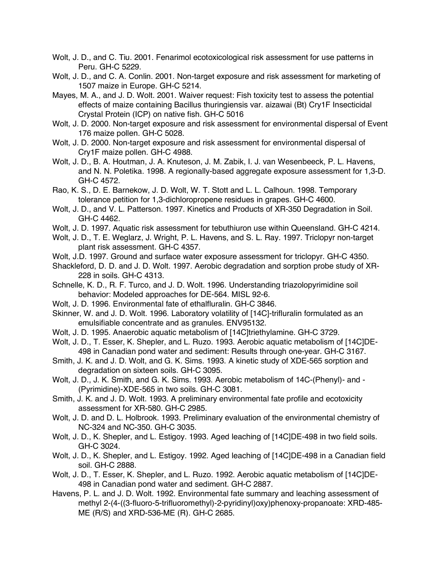- Wolt, J. D., and C. Tiu. 2001. Fenarimol ecotoxicological risk assessment for use patterns in Peru. GH-C 5229.
- Wolt, J. D., and C. A. Conlin. 2001. Non-target exposure and risk assessment for marketing of 1507 maize in Europe. GH-C 5214.
- Mayes, M. A., and J. D. Wolt. 2001. Waiver request: Fish toxicity test to assess the potential effects of maize containing Bacillus thuringiensis var. aizawai (Bt) Cry1F Insecticidal Crystal Protein (ICP) on native fish. GH-C 5016
- Wolt, J. D. 2000. Non-target exposure and risk assessment for environmental dispersal of Event 176 maize pollen. GH-C 5028.
- Wolt, J. D. 2000. Non-target exposure and risk assessment for environmental dispersal of Cry1F maize pollen. GH-C 4988.
- Wolt, J. D., B. A. Houtman, J. A. Knuteson, J. M. Zabik, I. J. van Wesenbeeck, P. L. Havens, and N. N. Poletika. 1998. A regionally-based aggregate exposure assessment for 1,3-D. GH-C 4572.
- Rao, K. S., D. E. Barnekow, J. D. Wolt, W. T. Stott and L. L. Calhoun. 1998. Temporary tolerance petition for 1,3-dichloropropene residues in grapes. GH-C 4600.
- Wolt, J. D., and V. L. Patterson. 1997. Kinetics and Products of XR-350 Degradation in Soil. GH-C 4462.
- Wolt, J. D. 1997. Aquatic risk assessment for tebuthiuron use within Queensland. GH-C 4214.
- Wolt, J. D., T. E. Weglarz, J. Wright, P. L. Havens, and S. L. Ray. 1997. Triclopyr non-target plant risk assessment. GH-C 4357.
- Wolt, J.D. 1997. Ground and surface water exposure assessment for triclopyr. GH-C 4350.
- Shackleford, D. D. and J. D. Wolt. 1997. Aerobic degradation and sorption probe study of XR-228 in soils. GH-C 4313.
- Schnelle, K. D., R. F. Turco, and J. D. Wolt. 1996. Understanding triazolopyrimidine soil behavior: Modeled approaches for DE-564. MISL 92-6.
- Wolt, J. D. 1996. Environmental fate of ethalfluralin. GH-C 3846.
- Skinner, W. and J. D. Wolt. 1996. Laboratory volatility of [14C]-trifluralin formulated as an emulsifiable concentrate and as granules. ENV95132.
- Wolt, J. D. 1995. Anaerobic aquatic metabolism of [14C]triethylamine. GH-C 3729.
- Wolt, J. D., T. Esser, K. Shepler, and L. Ruzo. 1993. Aerobic aquatic metabolism of [14C]DE-498 in Canadian pond water and sediment: Results through one-year. GH-C 3167.
- Smith, J. K. and J. D. Wolt, and G. K. Sims. 1993. A kinetic study of XDE-565 sorption and degradation on sixteen soils. GH-C 3095.
- Wolt, J. D., J. K. Smith, and G. K. Sims. 1993. Aerobic metabolism of 14C-(Phenyl)- and (Pyrimidine)-XDE-565 in two soils. GH-C 3081.
- Smith, J. K. and J. D. Wolt. 1993. A preliminary environmental fate profile and ecotoxicity assessment for XR-580. GH-C 2985.
- Wolt, J. D. and D. L. Holbrook. 1993. Preliminary evaluation of the environmental chemistry of NC-324 and NC-350. GH-C 3035.
- Wolt, J. D., K. Shepler, and L. Estigoy. 1993. Aged leaching of [14C]DE-498 in two field soils. GH-C 3024.
- Wolt, J. D., K. Shepler, and L. Estigoy. 1992. Aged leaching of [14C]DE-498 in a Canadian field soil. GH-C 2888.
- Wolt, J. D., T. Esser, K. Shepler, and L. Ruzo. 1992. Aerobic aquatic metabolism of [14C]DE-498 in Canadian pond water and sediment. GH-C 2887.
- Havens, P. L. and J. D. Wolt. 1992. Environmental fate summary and leaching assessment of methyl 2-(4-((3-fluoro-5-trifluoromethyl)-2-pyridinyl)oxy)phenoxy-propanoate: XRD-485- ME (R/S) and XRD-536-ME (R). GH-C 2685.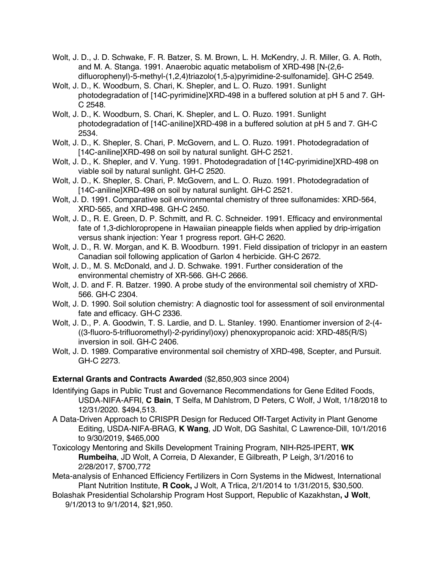- Wolt, J. D., J. D. Schwake, F. R. Batzer, S. M. Brown, L. H. McKendry, J. R. Miller, G. A. Roth, and M. A. Stanga. 1991. Anaerobic aquatic metabolism of XRD-498 [N-(2,6 difluorophenyl)-5-methyl-(1,2,4)triazolo(1,5-a)pyrimidine-2-sulfonamide]. GH-C 2549.
- Wolt, J. D., K. Woodburn, S. Chari, K. Shepler, and L. O. Ruzo. 1991. Sunlight photodegradation of [14C-pyrimidine]XRD-498 in a buffered solution at pH 5 and 7. GH-C 2548.
- Wolt, J. D., K. Woodburn, S. Chari, K. Shepler, and L. O. Ruzo. 1991. Sunlight photodegradation of [14C-aniline]XRD-498 in a buffered solution at pH 5 and 7. GH-C 2534.
- Wolt, J. D., K. Shepler, S. Chari, P. McGovern, and L. O. Ruzo. 1991. Photodegradation of [14C-aniline]XRD-498 on soil by natural sunlight. GH-C 2521.
- Wolt, J. D., K. Shepler, and V. Yung. 1991. Photodegradation of [14C-pyrimidine]XRD-498 on viable soil by natural sunlight. GH-C 2520.
- Wolt, J. D., K. Shepler, S. Chari, P. McGovern, and L. O. Ruzo. 1991. Photodegradation of [14C-aniline]XRD-498 on soil by natural sunlight. GH-C 2521.
- Wolt, J. D. 1991. Comparative soil environmental chemistry of three sulfonamides: XRD-564, XRD-565, and XRD-498. GH-C 2450.
- Wolt, J. D., R. E. Green, D. P. Schmitt, and R. C. Schneider. 1991. Efficacy and environmental fate of 1,3-dichloropropene in Hawaiian pineapple fields when applied by drip-irrigation versus shank injection: Year 1 progress report. GH-C 2620.
- Wolt, J. D., R. W. Morgan, and K. B. Woodburn. 1991. Field dissipation of triclopyr in an eastern Canadian soil following application of Garlon 4 herbicide. GH-C 2672.
- Wolt, J. D., M. S. McDonald, and J. D. Schwake. 1991. Further consideration of the environmental chemistry of XR-566. GH-C 2666.
- Wolt, J. D. and F. R. Batzer. 1990. A probe study of the environmental soil chemistry of XRD-566. GH-C 2304.
- Wolt, J. D. 1990. Soil solution chemistry: A diagnostic tool for assessment of soil environmental fate and efficacy. GH-C 2336.
- Wolt, J. D., P. A. Goodwin, T. S. Lardie, and D. L. Stanley. 1990. Enantiomer inversion of 2-(4- ((3-fluoro-5-trifluoromethyl)-2-pyridinyl)oxy) phenoxypropanoic acid: XRD-485(R/S) inversion in soil. GH-C 2406.
- Wolt, J. D. 1989. Comparative environmental soil chemistry of XRD-498, Scepter, and Pursuit. GH-C 2273.

## **External Grants and Contracts Awarded** (\$2,850,903 since 2004)

- Identifying Gaps in Public Trust and Governance Recommendations for Gene Edited Foods, USDA-NIFA-AFRI, **C Bain**, T Selfa, M Dahlstrom, D Peters, C Wolf, J Wolt, 1/18/2018 to 12/31/2020. \$494,513.
- A Data-Driven Approach to CRISPR Design for Reduced Off-Target Activity in Plant Genome Editing, USDA-NIFA-BRAG, **K Wang**, JD Wolt, DG Sashital, C Lawrence-Dill, 10/1/2016 to 9/30/2019, \$465,000
- Toxicology Mentoring and Skills Development Training Program, NIH-R25-IPERT, **WK Rumbeiha**, JD Wolt, A Correia, D Alexander, E Gilbreath, P Leigh, 3/1/2016 to 2/28/2017, \$700,772
- Meta-analysis of Enhanced Efficiency Fertilizers in Corn Systems in the Midwest, International Plant Nutrition Institute, **R Cook,** J Wolt, A Trlica, 2/1/2014 to 1/31/2015, \$30,500.
- Bolashak Presidential Scholarship Program Host Support, Republic of Kazakhstan**, J Wolt**, 9/1/2013 to 9/1/2014, \$21,950.